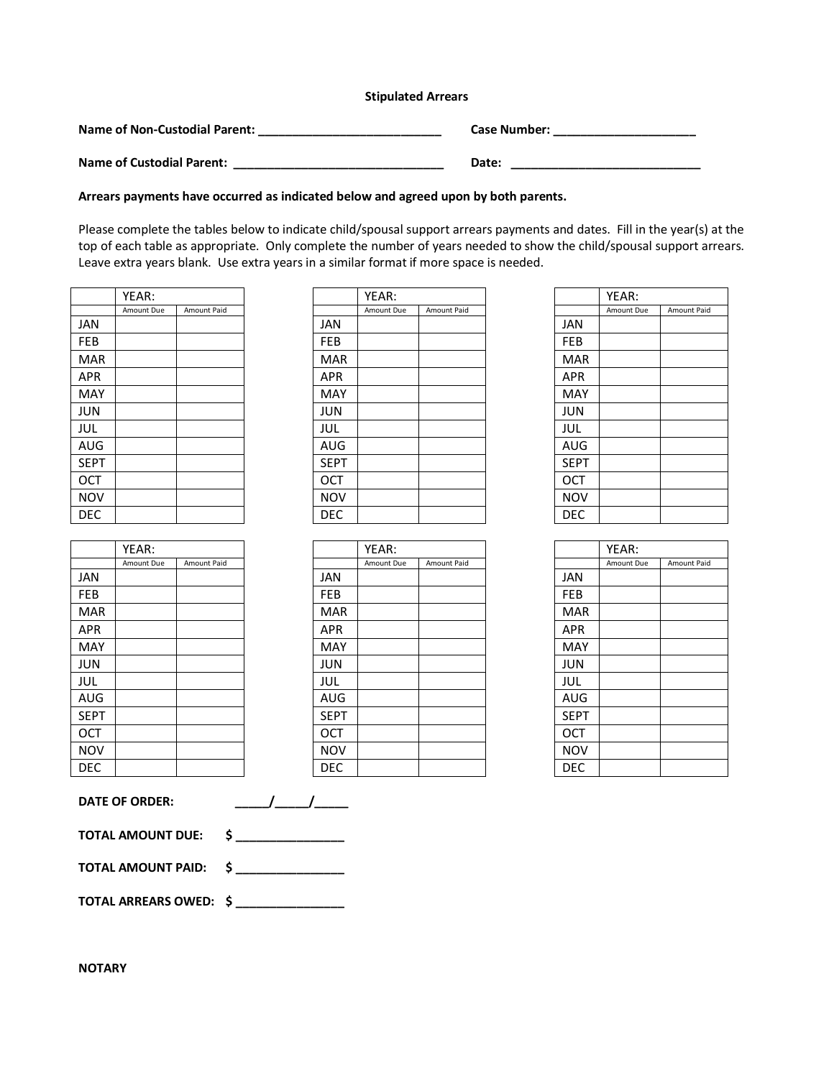## **Stipulated Arrears**

**Name of Non-Custodial Parent: \_\_\_\_\_\_\_\_\_\_\_\_\_\_\_\_\_\_\_\_\_\_\_\_\_\_\_ Case Number: \_\_\_\_\_\_\_\_\_\_\_\_\_\_\_\_\_\_\_\_\_**

| <b>Case Number:</b> |  |
|---------------------|--|
|                     |  |

**Name of Custodial Parent: \_\_\_\_\_\_\_\_\_\_\_\_\_\_\_\_\_\_\_\_\_\_\_\_\_\_\_\_\_\_\_ Date: \_\_\_\_\_\_\_\_\_\_\_\_\_\_\_\_\_\_\_\_\_\_\_\_\_\_\_\_**

## **Arrears payments have occurred as indicated below and agreed upon by both parents.**

Please complete the tables below to indicate child/spousal support arrears payments and dates. Fill in the year(s) at the top of each table as appropriate. Only complete the number of years needed to show the child/spousal support arrears. Leave extra years blank. Use extra years in a similar format if more space is needed.

|             | YEAR:      |             |
|-------------|------------|-------------|
|             | Amount Due | Amount Paid |
| <b>JAN</b>  |            |             |
| FEB         |            |             |
| MAR         |            |             |
| <b>APR</b>  |            |             |
| <b>MAY</b>  |            |             |
| <b>JUN</b>  |            |             |
| JUL         |            |             |
| AUG         |            |             |
| <b>SEPT</b> |            |             |
| OCT         |            |             |
| <b>NOV</b>  |            |             |
| DEC         |            |             |

|             | YEAR:      |             |
|-------------|------------|-------------|
|             | Amount Due | Amount Paid |
| <b>JAN</b>  |            |             |
| FEB         |            |             |
| MAR         |            |             |
| APR         |            |             |
| MAY         |            |             |
| <b>JUN</b>  |            |             |
| JUL         |            |             |
| AUG         |            |             |
| <b>SEPT</b> |            |             |
| OCT         |            |             |
| NOV         |            |             |
| DEC         |            |             |

|             | YEAR:      |                    |
|-------------|------------|--------------------|
|             | Amount Due | <b>Amount Paid</b> |
| <b>JAN</b>  |            |                    |
| FEB         |            |                    |
| MAR         |            |                    |
| <b>APR</b>  |            |                    |
| MAY         |            |                    |
| JUN         |            |                    |
| JUL         |            |                    |
| AUG         |            |                    |
| <b>SEPT</b> |            |                    |
| <b>OCT</b>  |            |                    |
| <b>NOV</b>  |            |                    |
| DEC         |            |                    |

|             | YEAR:      |                    |
|-------------|------------|--------------------|
|             | Amount Due | <b>Amount Paid</b> |
| <b>JAN</b>  |            |                    |
| <b>FEB</b>  |            |                    |
| <b>MAR</b>  |            |                    |
| <b>APR</b>  |            |                    |
| MAY         |            |                    |
| <b>JUN</b>  |            |                    |
| <b>JUL</b>  |            |                    |
| AUG         |            |                    |
| <b>SEPT</b> |            |                    |
| <b>OCT</b>  |            |                    |
| <b>NOV</b>  |            |                    |
| DEC         |            |                    |

|             | YEAR:      |             |
|-------------|------------|-------------|
|             | Amount Due | Amount Paid |
| <b>JAN</b>  |            |             |
| FEB         |            |             |
| MAR         |            |             |
| <b>APR</b>  |            |             |
| MAY         |            |             |
| JUN         |            |             |
| JUL         |            |             |
| AUG         |            |             |
| <b>SEPT</b> |            |             |
| OCT         |            |             |
| NOV         |            |             |
| DEC         |            |             |

|             | YEAR:      |             |
|-------------|------------|-------------|
|             | Amount Due | Amount Paid |
| <b>JAN</b>  |            |             |
| <b>FEB</b>  |            |             |
| MAR         |            |             |
| <b>APR</b>  |            |             |
| MAY         |            |             |
| JUN         |            |             |
| JUL         |            |             |
| AUG         |            |             |
| <b>SEPT</b> |            |             |
| OCT         |            |             |
| NOV         |            |             |
| DEC         |            |             |

**DATE OF ORDER: \_\_\_\_\_/\_\_\_\_\_/\_\_\_\_\_**

**TOTAL AMOUNT DUE: \$ \_\_\_\_\_\_\_\_\_\_\_\_\_\_\_\_**

**TOTAL AMOUNT PAID: \$ \_\_\_\_\_\_\_\_\_\_\_\_\_\_\_\_**

**TOTAL ARREARS OWED: \$ \_\_\_\_\_\_\_\_\_\_\_\_\_\_\_\_**

**NOTARY**